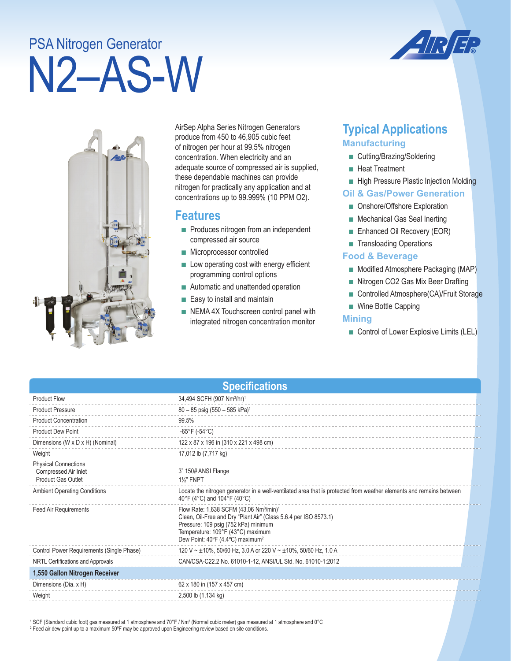# N2–AS-W PSA Nitrogen Generator



AirSep Alpha Series Nitrogen Generators produce from 450 to 46,905 cubic feet of nitrogen per hour at 99.5% nitrogen concentration. When electricity and an adequate source of compressed air is supplied, these dependable machines can provide nitrogen for practically any application and at concentrations up to 99.999% (10 PPM O2).

## **Features**

- Produces nitrogen from an independent compressed air source
- Microprocessor controlled
- Low operating cost with energy efficient programming control options
- Automatic and unattended operation
- Easy to install and maintain
- NEMA 4X Touchscreen control panel with integrated nitrogen concentration monitor

# **Typical Applications Manufacturing**

- Cutting/Brazing/Soldering
- Heat Treatment
- High Pressure Plastic Injection Molding

#### **Oil & Gas/Power Generation**

- Onshore/Offshore Exploration
- Mechanical Gas Seal Inerting
- Enhanced Oil Recovery (EOR)
- Transloading Operations

#### **Food & Beverage**

- Modified Atmosphere Packaging (MAP)
- Nitrogen CO2 Gas Mix Beer Drafting
- Controlled Atmosphere(CA)/Fruit Storage
- Wine Bottle Capping

#### **Mining**

■ Control of Lower Explosive Limits (LEL)

| <b>Specifications</b>                                                            |                                                                                                                                                                                                                                                                  |  |  |  |
|----------------------------------------------------------------------------------|------------------------------------------------------------------------------------------------------------------------------------------------------------------------------------------------------------------------------------------------------------------|--|--|--|
| <b>Product Flow</b>                                                              | 34,494 SCFH (907 Nm <sup>3</sup> /hr) <sup>1</sup>                                                                                                                                                                                                               |  |  |  |
| <b>Product Pressure</b>                                                          | $80 - 85$ psig (550 - 585 kPa) <sup>1</sup>                                                                                                                                                                                                                      |  |  |  |
| <b>Product Concentration</b>                                                     | 99.5%                                                                                                                                                                                                                                                            |  |  |  |
| <b>Product Dew Point</b>                                                         | $-65^{\circ}$ F (-54 $^{\circ}$ C)                                                                                                                                                                                                                               |  |  |  |
| Dimensions (W x D x H) (Nominal)                                                 | 122 x 87 x 196 in (310 x 221 x 498 cm)                                                                                                                                                                                                                           |  |  |  |
| Weight                                                                           | 17,012 lb (7,717 kg)                                                                                                                                                                                                                                             |  |  |  |
| <b>Physical Connections</b><br>Compressed Air Inlet<br><b>Product Gas Outlet</b> | 3" 150# ANSI Flange<br><b>1%" FNPT</b>                                                                                                                                                                                                                           |  |  |  |
| <b>Ambient Operating Conditions</b>                                              | Locate the nitrogen generator in a well-ventilated area that is protected from weather elements and remains between<br>40°F (4°C) and 104°F (40°C)                                                                                                               |  |  |  |
| <b>Feed Air Requirements</b>                                                     | Flow Rate: 1,638 SCFM (43.06 Nm <sup>3</sup> /min) <sup>1</sup><br>Clean, Oil-Free and Dry "Plant Air" (Class 5.6.4 per ISO 8573.1)<br>Pressure: 109 psig (752 kPa) minimum<br>Temperature: 109°F (43°C) maximum<br>Dew Point: 40°F (4.4°C) maximum <sup>2</sup> |  |  |  |
| Control Power Requirements (Single Phase)                                        | 120 V ~ ±10%, 50/60 Hz, 3.0 A or 220 V ~ ±10%, 50/60 Hz, 1.0 A                                                                                                                                                                                                   |  |  |  |
| NRTL Certifications and Approvals                                                | CAN/CSA-C22.2 No. 61010-1-12, ANSI/UL Std. No. 61010-1:2012                                                                                                                                                                                                      |  |  |  |
| 1,550 Gallon Nitrogen Receiver                                                   |                                                                                                                                                                                                                                                                  |  |  |  |
| Dimensions (Dia. x H)                                                            | 62 x 180 in (157 x 457 cm)                                                                                                                                                                                                                                       |  |  |  |
| Weight                                                                           | 2,500 lb (1,134 kg)                                                                                                                                                                                                                                              |  |  |  |

 $^1$  SCF (Standard cubic foot) gas measured at 1 atmosphere and 70°F / Nm $^3$  (Normal cubic meter) gas measured at 1 atmosphere and 0°C 2 Feed air dew point up to a maximum 50ºF may be approved upon Engineering review based on site conditions.